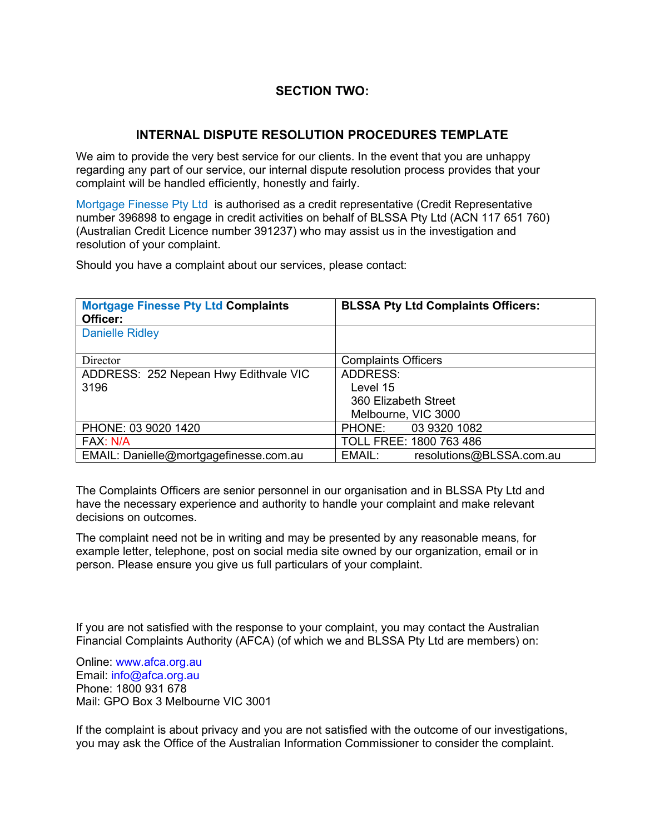# **SECTION TWO:**

## **INTERNAL DISPUTE RESOLUTION PROCEDURES TEMPLATE**

We aim to provide the very best service for our clients. In the event that you are unhappy regarding any part of our service, our internal dispute resolution process provides that your complaint will be handled efficiently, honestly and fairly.

Mortgage Finesse Pty Ltd is authorised as a credit representative (Credit Representative number 396898 to engage in credit activities on behalf of BLSSA Pty Ltd (ACN 117 651 760) (Australian Credit Licence number 391237) who may assist us in the investigation and resolution of your complaint.

Should you have a complaint about our services, please contact:

| <b>Mortgage Finesse Pty Ltd Complaints</b><br>Officer: | <b>BLSSA Pty Ltd Complaints Officers:</b> |
|--------------------------------------------------------|-------------------------------------------|
| <b>Danielle Ridley</b>                                 |                                           |
| Director                                               | <b>Complaints Officers</b>                |
| ADDRESS: 252 Nepean Hwy Edithvale VIC                  | ADDRESS:                                  |
| 3196                                                   | Level 15                                  |
|                                                        | 360 Elizabeth Street                      |
|                                                        | Melbourne, VIC 3000                       |
| PHONE: 03 9020 1420                                    | 03 9320 1082<br>PHONE:                    |
| FAX: N/A                                               | TOLL FREE: 1800 763 486                   |
| EMAIL: Danielle@mortgagefinesse.com.au                 | EMAIL:<br>resolutions@BLSSA.com.au        |

The Complaints Officers are senior personnel in our organisation and in BLSSA Pty Ltd and have the necessary experience and authority to handle your complaint and make relevant decisions on outcomes.

The complaint need not be in writing and may be presented by any reasonable means, for example letter, telephone, post on social media site owned by our organization, email or in person. Please ensure you give us full particulars of your complaint.

If you are not satisfied with the response to your complaint, you may contact the Australian Financial Complaints Authority (AFCA) (of which we and BLSSA Pty Ltd are members) on:

Online: www.afca.org.au Email: info@afca.org.au Phone: 1800 931 678 Mail: GPO Box 3 Melbourne VIC 3001

If the complaint is about privacy and you are not satisfied with the outcome of our investigations, you may ask the Office of the Australian Information Commissioner to consider the complaint.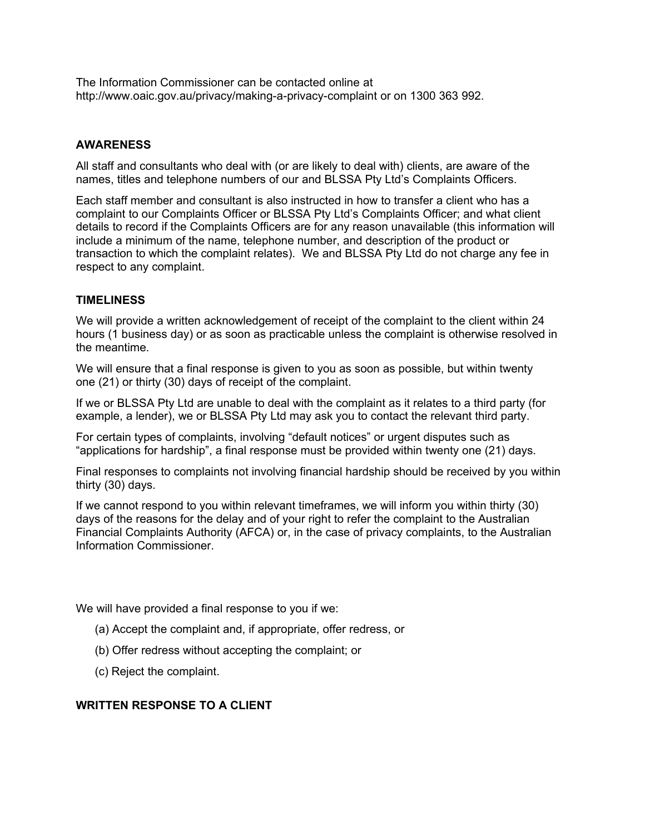The Information Commissioner can be contacted online at http://www.oaic.gov.au/privacy/making-a-privacy-complaint or on 1300 363 992.

## **AWARENESS**

All staff and consultants who deal with (or are likely to deal with) clients, are aware of the names, titles and telephone numbers of our and BLSSA Pty Ltd's Complaints Officers.

Each staff member and consultant is also instructed in how to transfer a client who has a complaint to our Complaints Officer or BLSSA Pty Ltd's Complaints Officer; and what client details to record if the Complaints Officers are for any reason unavailable (this information will include a minimum of the name, telephone number, and description of the product or transaction to which the complaint relates). We and BLSSA Pty Ltd do not charge any fee in respect to any complaint.

#### **TIMELINESS**

We will provide a written acknowledgement of receipt of the complaint to the client within 24 hours (1 business day) or as soon as practicable unless the complaint is otherwise resolved in the meantime.

We will ensure that a final response is given to you as soon as possible, but within twenty one (21) or thirty (30) days of receipt of the complaint.

If we or BLSSA Pty Ltd are unable to deal with the complaint as it relates to a third party (for example, a lender), we or BLSSA Pty Ltd may ask you to contact the relevant third party.

For certain types of complaints, involving "default notices" or urgent disputes such as "applications for hardship", a final response must be provided within twenty one (21) days.

Final responses to complaints not involving financial hardship should be received by you within thirty (30) days.

If we cannot respond to you within relevant timeframes, we will inform you within thirty (30) days of the reasons for the delay and of your right to refer the complaint to the Australian Financial Complaints Authority (AFCA) or, in the case of privacy complaints, to the Australian Information Commissioner.

We will have provided a final response to you if we:

- (a) Accept the complaint and, if appropriate, offer redress, or
- (b) Offer redress without accepting the complaint; or
- (c) Reject the complaint.

#### **WRITTEN RESPONSE TO A CLIENT**